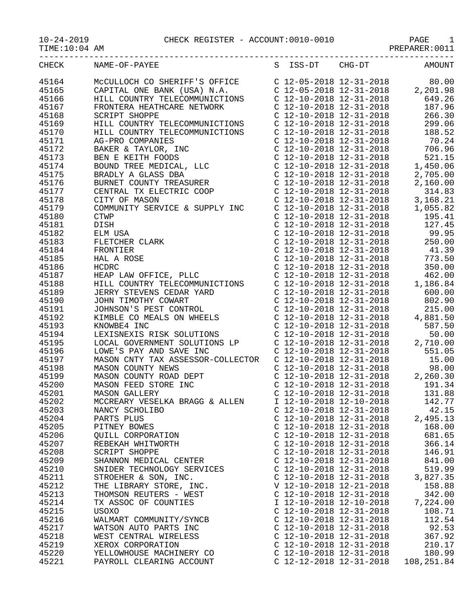10-24-2019 CHECK REGISTER - ACCOUNT:0010-0010 PAGE 1

| $0 - 24 - 2019$ |  |
|-----------------|--|
|                 |  |

TIME:10:04 AM PREPARER:0011

| CHECK | NAME-OF-PAYEE                  |                           |                         | S ISS-DT CHG-DT AMOUNT |
|-------|--------------------------------|---------------------------|-------------------------|------------------------|
| 45164 |                                |                           |                         |                        |
| 45165 |                                |                           |                         |                        |
| 45166 |                                |                           |                         |                        |
| 45167 |                                |                           |                         |                        |
| 45168 |                                |                           |                         |                        |
| 45169 |                                |                           |                         |                        |
| 45170 |                                |                           |                         |                        |
| 45171 |                                |                           |                         |                        |
|       |                                |                           |                         |                        |
| 45172 |                                |                           |                         |                        |
| 45173 |                                |                           |                         |                        |
| 45174 |                                |                           |                         |                        |
| 45175 |                                |                           |                         |                        |
| 45176 |                                |                           |                         |                        |
| 45177 |                                |                           |                         |                        |
| 45178 |                                |                           |                         |                        |
| 45179 |                                |                           |                         |                        |
| 45180 |                                |                           |                         |                        |
| 45181 |                                |                           |                         |                        |
| 45182 |                                |                           |                         |                        |
| 45183 |                                |                           |                         |                        |
| 45184 |                                |                           |                         |                        |
| 45185 |                                |                           |                         |                        |
| 45186 |                                |                           |                         |                        |
| 45187 |                                |                           |                         |                        |
| 45188 |                                |                           |                         |                        |
| 45189 |                                |                           |                         |                        |
| 45190 |                                |                           |                         |                        |
| 45191 |                                |                           |                         |                        |
| 45192 |                                |                           |                         |                        |
| 45193 |                                |                           |                         |                        |
| 45194 |                                |                           |                         |                        |
| 45195 |                                |                           |                         |                        |
| 45196 |                                |                           |                         |                        |
| 45197 |                                |                           |                         |                        |
| 45198 |                                |                           |                         |                        |
| 45199 |                                |                           |                         |                        |
| 45200 |                                |                           |                         |                        |
| 45201 |                                |                           |                         |                        |
| 45202 | MCCREARY VESELKA BRAGG & ALLEN |                           | I 12-10-2018 12-10-2018 | 142.77                 |
| 45203 | NANCY SCHOLIBO                 | $C$ 12-10-2018 12-31-2018 |                         | 42.15                  |
| 45204 | PARTS PLUS                     | C 12-10-2018 12-31-2018   |                         | 2,495.13               |
| 45205 | PITNEY BOWES                   | $C$ 12-10-2018 12-31-2018 |                         | 168.00                 |
| 45206 | QUILL CORPORATION              | $C$ 12-10-2018 12-31-2018 |                         | 681.65                 |
| 45207 | REBEKAH WHITWORTH              | $C$ 12-10-2018 12-31-2018 |                         | 366.14                 |
| 45208 | <b>SCRIPT SHOPPE</b>           | $C$ 12-10-2018 12-31-2018 |                         | 146.91                 |
| 45209 | SHANNON MEDICAL CENTER         | $C$ 12-10-2018 12-31-2018 |                         | 841.00                 |
| 45210 | SNIDER TECHNOLOGY SERVICES     | C 12-10-2018 12-31-2018   |                         | 519.99                 |
| 45211 | STROEHER & SON, INC.           | C 12-10-2018 12-31-2018   |                         | 3,827.35               |
| 45212 | THE LIBRARY STORE, INC.        | V 12-10-2018 12-21-2018   |                         | 158.88                 |
| 45213 | THOMSON REUTERS - WEST         | $C$ 12-10-2018 12-31-2018 |                         | 342.00                 |
| 45214 | TX ASSOC OF COUNTIES           | I 12-10-2018 12-10-2018   |                         | 7,224.00               |
| 45215 | USOXO                          | C 12-10-2018 12-31-2018   |                         | 108.71                 |
| 45216 | WALMART COMMUNITY/SYNCB        | C 12-10-2018 12-31-2018   |                         | 112.54                 |
| 45217 | WATSON AUTO PARTS INC          | $C$ 12-10-2018 12-31-2018 |                         | 92.53                  |
| 45218 | WEST CENTRAL WIRELESS          | $C$ 12-10-2018 12-31-2018 |                         | 367.92                 |
| 45219 | XEROX CORPORATION              | C 12-10-2018 12-31-2018   |                         | 210.17                 |
| 45220 |                                | $C$ 12-10-2018 12-31-2018 |                         | 180.99                 |
| 45221 | YELLOWHOUSE MACHINERY CO       | C 12-12-2018 12-31-2018   |                         |                        |
|       | PAYROLL CLEARING ACCOUNT       |                           |                         | 108,251.84             |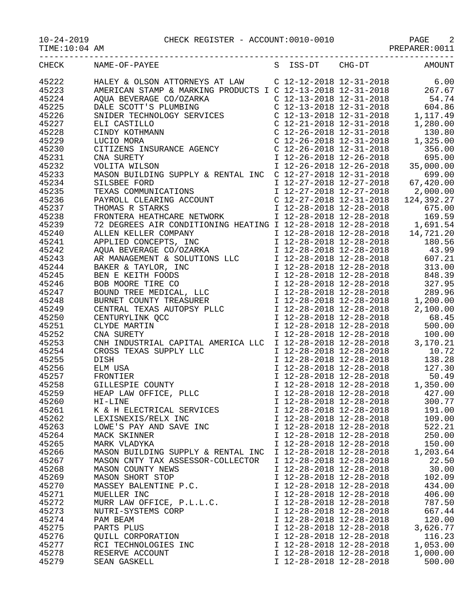## 10-24-2019 CHECK REGISTER - ACCOUNT:0010-0010 PAGE 2

TIME:10:04 AM PREPARER:0011

| CHECK          | NAME-OF-PAYEE                             |                                                    |                         | S ISS-DT CHG-DT AMOUNT |
|----------------|-------------------------------------------|----------------------------------------------------|-------------------------|------------------------|
| 45222          |                                           |                                                    |                         |                        |
| 45223          |                                           |                                                    |                         |                        |
| 45224          |                                           |                                                    |                         |                        |
| 45225          |                                           |                                                    |                         |                        |
| 45226          |                                           |                                                    |                         |                        |
| 45227          |                                           |                                                    |                         |                        |
| 45228          |                                           |                                                    |                         |                        |
|                |                                           |                                                    |                         |                        |
| 45229          |                                           |                                                    |                         |                        |
| 45230<br>45231 |                                           |                                                    |                         |                        |
| 45232          |                                           |                                                    |                         |                        |
| 45233          |                                           |                                                    |                         |                        |
| 45234          |                                           |                                                    |                         |                        |
| 45235          |                                           |                                                    |                         |                        |
|                |                                           |                                                    |                         |                        |
| 45236          |                                           |                                                    |                         |                        |
| 45237          |                                           |                                                    |                         |                        |
| 45238          |                                           |                                                    |                         |                        |
| 45239          |                                           |                                                    |                         |                        |
| 45240          |                                           |                                                    |                         |                        |
| 45241          |                                           |                                                    |                         |                        |
| 45242          |                                           |                                                    |                         |                        |
| 45243          |                                           |                                                    |                         |                        |
| 45244          |                                           |                                                    |                         |                        |
| 45245          |                                           |                                                    |                         |                        |
| 45246          |                                           |                                                    |                         |                        |
| 45247          |                                           |                                                    |                         |                        |
| 45248          |                                           |                                                    |                         |                        |
| 45249          |                                           |                                                    |                         |                        |
| 45250          |                                           |                                                    |                         |                        |
| 45251          |                                           |                                                    |                         |                        |
| 45252          |                                           |                                                    |                         |                        |
| 45253          |                                           |                                                    |                         |                        |
| 45254          |                                           |                                                    |                         |                        |
| 45255          |                                           |                                                    |                         |                        |
| 45256          |                                           |                                                    |                         |                        |
| 45257          |                                           |                                                    |                         |                        |
| 45258          |                                           |                                                    |                         |                        |
| 45259          |                                           |                                                    |                         |                        |
| 45260          | HI-LINE                                   |                                                    | I 12-28-2018 12-28-2018 | 300.77                 |
| 45261          | K & H ELECTRICAL SERVICES                 | I 12-28-2018 12-28-2018<br>I 12-28-2018 12-28-2018 |                         | 191.00                 |
| 45262          | LEXISNEXIS/RELX INC                       |                                                    |                         | 109.00                 |
| 45263<br>45264 | LOWE'S PAY AND SAVE INC<br>MACK SKINNER   | I 12-28-2018 12-28-2018<br>I 12-28-2018 12-28-2018 |                         | 522.21<br>250.00       |
| 45265          | MARK VLADYKA                              | I 12-28-2018 12-28-2018                            |                         | 150.00                 |
| 45266          | MASON BUILDING SUPPLY & RENTAL INC        | I 12-28-2018 12-28-2018                            |                         |                        |
| 45267          |                                           | I 12-28-2018 12-28-2018                            |                         | 1,203.64<br>22.50      |
|                | MASON CNTY TAX ASSESSOR-COLLECTOR         | I 12-28-2018 12-28-2018                            |                         | 30.00                  |
| 45268<br>45269 | MASON COUNTY NEWS                         | I 12-28-2018 12-28-2018                            |                         | 102.09                 |
| 45270          | MASON SHORT STOP                          | I 12-28-2018 12-28-2018                            |                         |                        |
| 45271          | MASSEY BALENTINE P.C.<br>MUELLER INC      | I 12-28-2018 12-28-2018                            |                         | 434.00                 |
| 45272          | MURR LAW OFFICE, P.L.L.C.                 | I 12-28-2018 12-28-2018                            |                         | 406.00<br>787.50       |
| 45273          |                                           | I 12-28-2018 12-28-2018                            |                         | 667.44                 |
| 45274          | NUTRI-SYSTEMS CORP                        | I 12-28-2018 12-28-2018                            |                         | 120.00                 |
| 45275          | PAM BEAM<br>PARTS PLUS                    | I 12-28-2018 12-28-2018                            |                         | 3,626.77               |
| 45276          |                                           | I 12-28-2018 12-28-2018                            |                         | 116.23                 |
| 45277          | QUILL CORPORATION<br>RCI TECHNOLOGIES INC | I 12-28-2018 12-28-2018                            |                         | 1,053.00               |
| 45278          | RESERVE ACCOUNT                           | I 12-28-2018 12-28-2018                            |                         | 1,000.00               |
| 45279          | SEAN GASKELL                              | I 12-28-2018 12-28-2018                            |                         | 500.00                 |
|                |                                           |                                                    |                         |                        |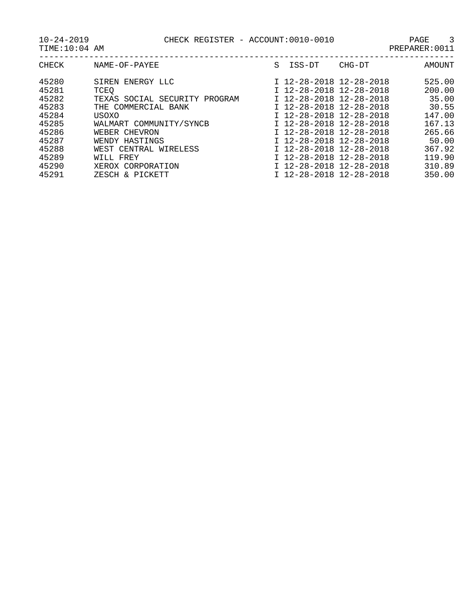| CHECK<br>NAME-OF-PAYEE                                                                                                                                                                                                                                                                                                                   | CHG-DT<br>ISS-DT<br>S                                                                                                                                                                                                                                                                                 | AMOUNT                                                                                                  |
|------------------------------------------------------------------------------------------------------------------------------------------------------------------------------------------------------------------------------------------------------------------------------------------------------------------------------------------|-------------------------------------------------------------------------------------------------------------------------------------------------------------------------------------------------------------------------------------------------------------------------------------------------------|---------------------------------------------------------------------------------------------------------|
| 45280<br>ENERGY LLC<br>SIREN<br>45281<br><b>TCEO</b><br>45282<br>TEXAS SOCIAL<br>SECURITY<br>PROGRAM<br>45283<br>THE COMMERCIAL BANK<br>45284<br>USOXO<br>45285<br>WALMART COMMUNITY/SYNCB<br>45286<br>WEBER CHEVRON<br>45287<br>WENDY HASTINGS<br>45288<br>WIRELESS<br>WEST CENTRAL<br>45289<br>WILL FREY<br>45290<br>XEROX CORPORATION | I 12-28-2018 12-28-2018<br>I 12-28-2018 12-28-2018<br>I 12-28-2018 12-28-2018<br>I 12-28-2018 12-28-2018<br>I 12-28-2018 12-28-2018<br>T 12-28-2018 12-28-2018<br>I 12-28-2018 12-28-2018<br>I 12-28-2018 12-28-2018<br>I 12-28-2018 12-28-2018<br>I 12-28-2018 12-28-2018<br>I 12-28-2018 12-28-2018 | 525.00<br>200.00<br>35.00<br>30.55<br>147.00<br>167.13<br>265.66<br>50.00<br>367.92<br>119.90<br>310.89 |
| 45291<br>ZESCH & PICKETT                                                                                                                                                                                                                                                                                                                 | I 12-28-2018 12-28-2018                                                                                                                                                                                                                                                                               | 350.00                                                                                                  |